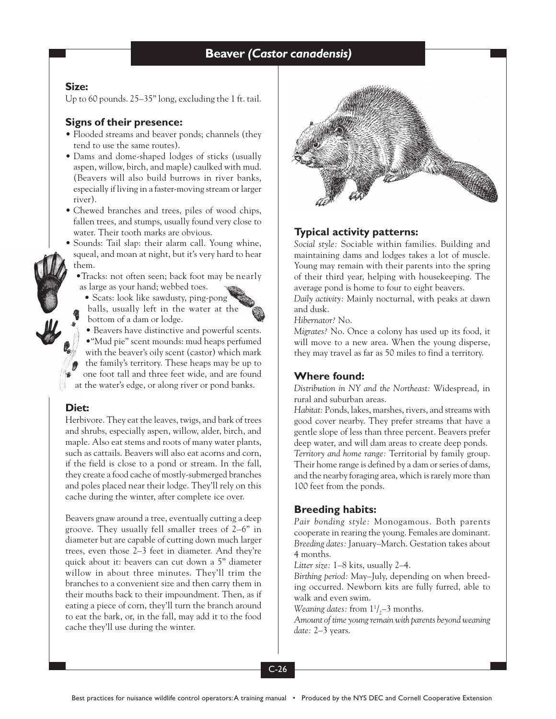# **Beaver Beaver** *(Castor canadensis)*

#### **Size:**

Up to 60 pounds. 25–35" long, excluding the 1 ft. tail.

#### **Signs of their presence:**

- Flooded streams and beaver ponds; channels (they tend to use the same routes).
- Dams and dome-shaped lodges of sticks (usually aspen, willow, birch, and maple) caulked with mud. (Beavers will also build burrows in river banks, especially if living in a faster-moving stream or larger river).
- Chewed branches and trees, piles of wood chips, fallen trees, and stumps, usually found very close to water. Their tooth marks are obvious.
- Sounds: Tail slap: their alarm call. Young whine, squeal, and moan at night, but it's very hard to hear them.
	- •Tracks: not often seen; back foot may be nearly as large as your hand; webbed toes.
	- Scats: look like sawdusty, ping-pong balls, usually left in the water at the
		- bottom of a dam or lodge. • Beavers have distinctive and powerful scents.

•"Mud pie" scent mounds: mud heaps perfumed with the beaver's oily scent (castor) which mark the family's territory. These heaps may be up to one foot tall and three feet wide, and are found at the water's edge, or along river or pond banks.

#### **Diet:**

Herbivore. They eat the leaves, twigs, and bark of trees and shrubs, especially aspen, willow, alder, birch, and maple. Also eat stems and roots of many water plants, such as cattails. Beavers will also eat acorns and corn, if the field is close to a pond or stream. In the fall, they create a food cache of mostly-submerged branches and poles placed near their lodge. They'll rely on this cache during the winter, after complete ice over.

Beavers gnaw around a tree, eventually cutting a deep groove. They usually fell smaller trees of 2–6" in diameter but are capable of cutting down much larger trees, even those 2–3 feet in diameter. And they're quick about it: beavers can cut down a 5" diameter willow in about three minutes. They'll trim the branches to a convenient size and then carry them in their mouths back to their impoundment. Then, as if eating a piece of corn, they'll turn the branch around to eat the bark, or, in the fall, may add it to the food cache they'll use during the winter.



# **Typical activity patterns:**

*Social style:* Sociable within families. Building and maintaining dams and lodges takes a lot of muscle. Young may remain with their parents into the spring of their third year, helping with housekeeping. The average pond is home to four to eight beavers.

*Daily activity:* Mainly nocturnal, with peaks at dawn and dusk.

*Hibernator?* No.

*Migrates?* No. Once a colony has used up its food, it will move to a new area. When the young disperse, they may travel as far as 50 miles to find a territory.

# **Where found:**

*Distribution in NY and the Northeast:* Widespread, in rural and suburban areas.

*Habitat:* Ponds, lakes, marshes, rivers, and streams with good cover nearby. They prefer streams that have a gentle slope of less than three percent. Beavers prefer deep water, and will dam areas to create deep ponds. *Territory and home range:* Territorial by family group. Their home range is defined by a dam or series of dams, and the nearby foraging area, which is rarely more than 100 feet from the ponds.

#### **Breeding habits:**

*Pair bonding style:* Monogamous. Both parents cooperate in rearing the young. Females are dominant. *Breeding dates:* January–March. Gestation takes about 4 months.

*Litter size:* 1–8 kits, usually 2–4.

*Birthing period:* May–July, depending on when breeding occurred. Newborn kits are fully furred, able to walk and even swim.

*Weaning dates:* from  $1^1/2^-$ 3 months.

*Amount of time young remain with parents beyond weaning date:* 2–3 years.

C-26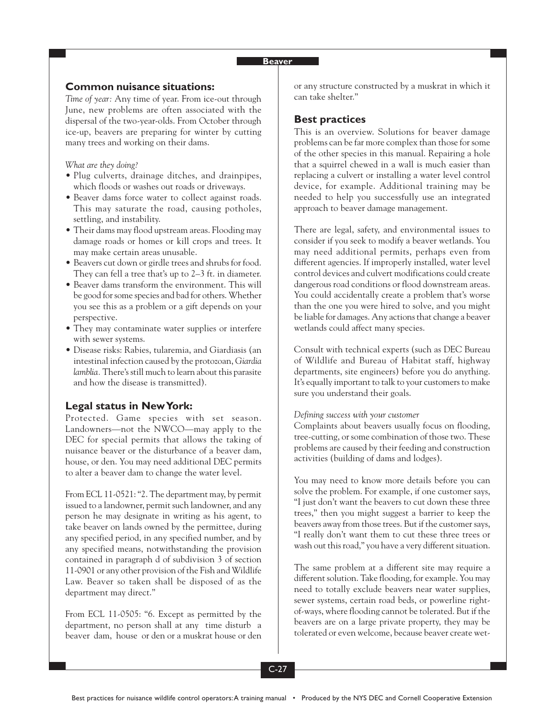# **Common nuisance situations:**

*Time of year:* Any time of year. From ice-out through June, new problems are often associated with the dispersal of the two-year-olds. From October through ice-up, beavers are preparing for winter by cutting many trees and working on their dams.

*What are they doing?*

- Plug culverts, drainage ditches, and drainpipes, which floods or washes out roads or driveways.
- Beaver dams force water to collect against roads. This may saturate the road, causing potholes, settling, and instability.
- Their dams may flood upstream areas. Flooding may damage roads or homes or kill crops and trees. It may make certain areas unusable.
- Beavers cut down or girdle trees and shrubs for food. They can fell a tree that's up to 2–3 ft. in diameter.
- Beaver dams transform the environment. This will be good for some species and bad for others. Whether you see this as a problem or a gift depends on your perspective.
- They may contaminate water supplies or interfere with sewer systems.
- Disease risks: Rabies, tularemia, and Giardiasis (an intestinal infection caused by the protozoan, *Giardia lamblia.* There's still much to learn about this parasite and how the disease is transmitted).

#### **Legal status in New York:**

Protected. Game species with set season. Landowners—not the NWCO—may apply to the DEC for special permits that allows the taking of nuisance beaver or the disturbance of a beaver dam, house, or den. You may need additional DEC permits to alter a beaver dam to change the water level.

From ECL 11-0521: "2. The department may, by permit issued to a landowner, permit such landowner, and any person he may designate in writing as his agent, to take beaver on lands owned by the permittee, during any specified period, in any specified number, and by any specified means, notwithstanding the provision contained in paragraph d of subdivision 3 of section 11-0901 or any other provision of the Fish and Wildlife Law. Beaver so taken shall be disposed of as the department may direct."

From ECL 11-0505: "6. Except as permitted by the department, no person shall at any time disturb a beaver dam, house or den or a muskrat house or den or any structure constructed by a muskrat in which it can take shelter."

#### **Best practices**

This is an overview. Solutions for beaver damage problems can be far more complex than those for some of the other species in this manual. Repairing a hole that a squirrel chewed in a wall is much easier than replacing a culvert or installing a water level control device, for example. Additional training may be needed to help you successfully use an integrated approach to beaver damage management.

There are legal, safety, and environmental issues to consider if you seek to modify a beaver wetlands. You may need additional permits, perhaps even from different agencies. If improperly installed, water level control devices and culvert modifications could create dangerous road conditions or flood downstream areas. You could accidentally create a problem that's worse than the one you were hired to solve, and you might be liable for damages. Any actions that change a beaver wetlands could affect many species.

Consult with technical experts (such as DEC Bureau of Wildlife and Bureau of Habitat staff, highway departments, site engineers) before you do anything. It's equally important to talk to your customers to make sure you understand their goals.

#### *Defining success with your customer*

Complaints about beavers usually focus on flooding, tree-cutting, or some combination of those two. These problems are caused by their feeding and construction activities (building of dams and lodges).

You may need to know more details before you can solve the problem. For example, if one customer says, "I just don't want the beavers to cut down these three trees," then you might suggest a barrier to keep the beavers away from those trees. But if the customer says, "I really don't want them to cut these three trees or wash out this road," you have a very different situation.

The same problem at a different site may require a different solution. Take flooding, for example. You may need to totally exclude beavers near water supplies, sewer systems, certain road beds, or powerline rightof-ways, where flooding cannot be tolerated. But if the beavers are on a large private property, they may be tolerated or even welcome, because beaver create wet-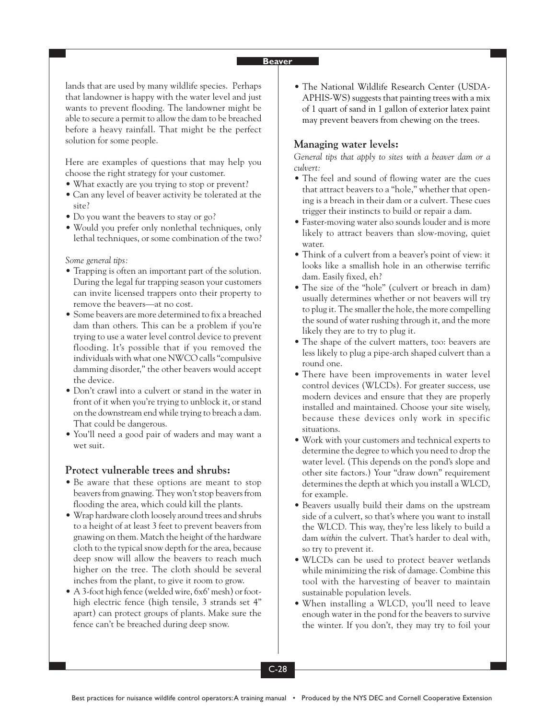lands that are used by many wildlife species. Perhaps that landowner is happy with the water level and just wants to prevent flooding. The landowner might be able to secure a permit to allow the dam to be breached before a heavy rainfall. That might be the perfect solution for some people.

Here are examples of questions that may help you choose the right strategy for your customer.

- What exactly are you trying to stop or prevent?
- Can any level of beaver activity be tolerated at the site?
- Do you want the beavers to stay or go?
- Would you prefer only nonlethal techniques, only lethal techniques, or some combination of the two?

*Some general tips:*

- Trapping is often an important part of the solution. During the legal fur trapping season your customers can invite licensed trappers onto their property to remove the beavers—at no cost.
- Some beavers are more determined to fix a breached dam than others. This can be a problem if you're trying to use a water level control device to prevent flooding. It's possible that if you removed the individuals with what one NWCO calls "compulsive damming disorder," the other beavers would accept the device.
- Don't crawl into a culvert or stand in the water in front of it when you're trying to unblock it, or stand on the downstream end while trying to breach a dam. That could be dangerous.
- You'll need a good pair of waders and may want a wet suit.

### **Protect vulnerable trees and shrubs:**

- Be aware that these options are meant to stop beavers from gnawing. They won't stop beavers from flooding the area, which could kill the plants.
- Wrap hardware cloth loosely around trees and shrubs to a height of at least 3 feet to prevent beavers from gnawing on them. Match the height of the hardware cloth to the typical snow depth for the area, because deep snow will allow the beavers to reach much higher on the tree. The cloth should be several inches from the plant, to give it room to grow.
- A 3-foot high fence (welded wire, 6x6' mesh) or foothigh electric fence (high tensile, 3 strands set 4" apart) can protect groups of plants. Make sure the fence can't be breached during deep snow.

• The National Wildlife Research Center (USDA-APHIS-WS) suggests that painting trees with a mix of 1 quart of sand in 1 gallon of exterior latex paint may prevent beavers from chewing on the trees.

# **Managing water levels:**

*General tips that apply to sites with a beaver dam or a culvert:*

- The feel and sound of flowing water are the cues that attract beavers to a "hole," whether that opening is a breach in their dam or a culvert. These cues trigger their instincts to build or repair a dam.
- Faster-moving water also sounds louder and is more likely to attract beavers than slow-moving, quiet water.
- Think of a culvert from a beaver's point of view: it looks like a smallish hole in an otherwise terrific dam. Easily fixed, eh?
- The size of the "hole" (culvert or breach in dam) usually determines whether or not beavers will try to plug it. The smaller the hole, the more compelling the sound of water rushing through it, and the more likely they are to try to plug it.
- The shape of the culvert matters, too: beavers are less likely to plug a pipe-arch shaped culvert than a round one.
- There have been improvements in water level control devices (WLCDs). For greater success, use modern devices and ensure that they are properly installed and maintained. Choose your site wisely, because these devices only work in specific situations.
- Work with your customers and technical experts to determine the degree to which you need to drop the water level. (This depends on the pond's slope and other site factors.) Your "draw down" requirement determines the depth at which you install a WLCD, for example.
- Beavers usually build their dams on the upstream side of a culvert, so that's where you want to install the WLCD. This way, they're less likely to build a dam *within* the culvert. That's harder to deal with, so try to prevent it.
- WLCDs can be used to protect beaver wetlands while minimizing the risk of damage. Combine this tool with the harvesting of beaver to maintain sustainable population levels.
- When installing a WLCD, you'll need to leave enough water in the pond for the beavers to survive the winter. If you don't, they may try to foil your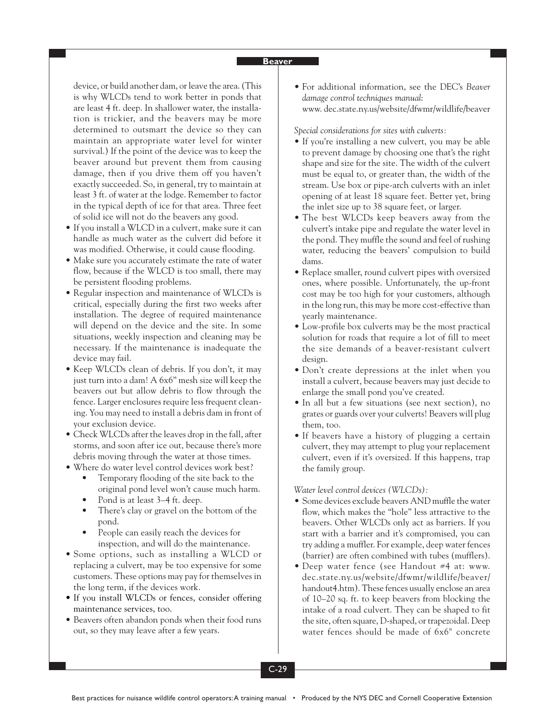device, or build another dam, or leave the area. (This is why WLCDs tend to work better in ponds that are least 4 ft. deep. In shallower water, the installation is trickier, and the beavers may be more determined to outsmart the device so they can maintain an appropriate water level for winter survival.) If the point of the device was to keep the beaver around but prevent them from causing damage, then if you drive them off you haven't exactly succeeded. So, in general, try to maintain at least 3 ft. of water at the lodge. Remember to factor in the typical depth of ice for that area. Three feet of solid ice will not do the beavers any good.

- If you install a WLCD in a culvert, make sure it can handle as much water as the culvert did before it was modified. Otherwise, it could cause flooding.
- Make sure you accurately estimate the rate of water flow, because if the WLCD is too small, there may be persistent flooding problems.
- Regular inspection and maintenance of WLCDs is critical, especially during the first two weeks after installation. The degree of required maintenance will depend on the device and the site. In some situations, weekly inspection and cleaning may be necessary. If the maintenance is inadequate the device may fail.
- Keep WLCDs clean of debris. If you don't, it may just turn into a dam! A 6x6" mesh size will keep the beavers out but allow debris to flow through the fence. Larger enclosures require less frequent cleaning. You may need to install a debris dam in front of your exclusion device.
- Check WLCDs after the leaves drop in the fall, after storms, and soon after ice out, because there's more debris moving through the water at those times.
- Where do water level control devices work best?
	- Temporary flooding of the site back to the original pond level won't cause much harm.
	- Pond is at least 3–4 ft. deep.
	- There's clay or gravel on the bottom of the pond.
	- People can easily reach the devices for inspection, and will do the maintenance.
- Some options, such as installing a WLCD or replacing a culvert, may be too expensive for some customers. These options may pay for themselves in the long term, if the devices work.
- If you install WLCDs or fences, consider offering maintenance services, too.
- Beavers often abandon ponds when their food runs out, so they may leave after a few years.

• For additional information, see the DEC's *Beaver damage control techniques manual*: www. dec.state.ny.us/website/dfwmr/wildlife/beaver

*Special considerations for sites with culverts:*

- If you're installing a new culvert, you may be able to prevent damage by choosing one that's the right shape and size for the site. The width of the culvert must be equal to, or greater than, the width of the stream. Use box or pipe-arch culverts with an inlet opening of at least 18 square feet. Better yet, bring the inlet size up to 38 square feet, or larger.
- The best WLCDs keep beavers away from the culvert's intake pipe and regulate the water level in the pond. They muffle the sound and feel of rushing water, reducing the beavers' compulsion to build dams.
- Replace smaller, round culvert pipes with oversized ones, where possible. Unfortunately, the up-front cost may be too high for your customers, although in the long run, this may be more cost-effective than yearly maintenance.
- Low-profile box culverts may be the most practical solution for roads that require a lot of fill to meet the size demands of a beaver-resistant culvert design.
- Don't create depressions at the inlet when you install a culvert, because beavers may just decide to enlarge the small pond you've created.
- In all but a few situations (see next section), no grates or guards over your culverts! Beavers will plug them, too.
- If beavers have a history of plugging a certain culvert, they may attempt to plug your replacement culvert, even if it's oversized. If this happens, trap the family group.

*Water level control devices (WLCDs):*

- Some devices exclude beavers AND muffle the water flow, which makes the "hole" less attractive to the beavers. Other WLCDs only act as barriers. If you start with a barrier and it's compromised, you can try adding a muffler. For example, deep water fences (barrier) are often combined with tubes (mufflers).
- Deep water fence (see Handout #4 at: www. dec.state.ny.us/website/dfwmr/wildlife/beaver/ handout4.htm). These fences usually enclose an area of 10–20 sq. ft. to keep beavers from blocking the intake of a road culvert. They can be shaped to fit the site, often square, D-shaped, or trapezoidal. Deep water fences should be made of 6x6" concrete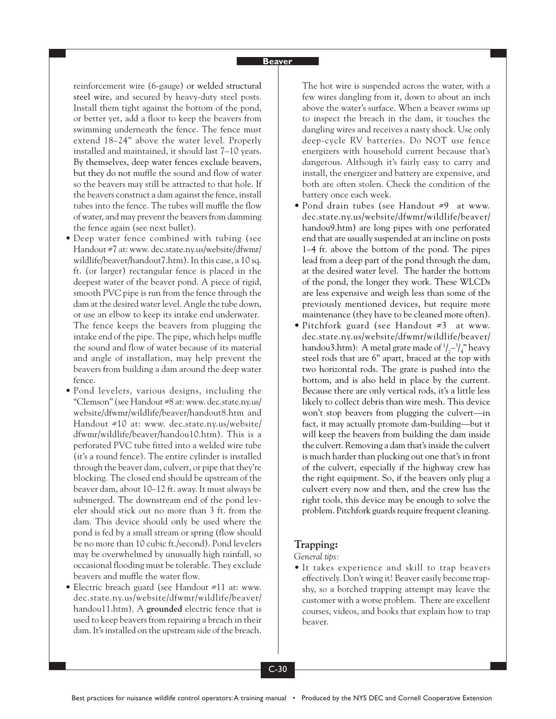reinforcement wire (6-gauge) or welded structural steel wire, and secured by heavy-duty steel posts. Install them tight against the bottom of the pond, or better yet, add a floor to keep the beavers from swimming underneath the fence. The fence must extend 18–24" above the water level. Properly installed and maintained, it should last 7–10 years. By themselves, deep water fences exclude beavers, but they do not muffle the sound and flow of water so the beavers may still be attracted to that hole. If the beavers construct a dam against the fence, install tubes into the fence. The tubes will muffle the flow of water, and may prevent the beavers from damming the fence again (see next bullet).

- Deep water fence combined with tubing (see Handout #7 at: www. dec.state.ny.us/website/dfwmr/ wildlife/beaver/handout7.htm). In this case, a 10 sq. ft. (or larger) rectangular fence is placed in the deepest water of the beaver pond. A piece of rigid, smooth PVC pipe is run from the fence through the dam at the desired water level. Angle the tube down, or use an elbow to keep its intake end underwater. The fence keeps the beavers from plugging the intake end of the pipe. The pipe, which helps muffle the sound and flow of water because of its material and angle of installation, may help prevent the beavers from building a dam around the deep water fence.
- Pond levelers, various designs, including the "Clemson" (see Handout #8 at: www. dec.state.ny.us/ website/dfwmr/wildlife/beaver/handout8.htm and Handout #10 at: www. dec.state.ny.us/website/ dfwmr/wildlife/beaver/handou10.htm). This is a perforated PVC tube fitted into a welded wire tube (it's a round fence). The entire cylinder is installed through the beaver dam, culvert, or pipe that they're blocking. The closed end should be upstream of the beaver dam, about 10–12 ft. away. It must always be submerged. The downstream end of the pond leveler should stick out no more than 3 ft. from the dam. This device should only be used where the pond is fed by a small stream or spring (flow should be no more than 10 cubic ft./second). Pond levelers may be overwhelmed by unusually high rainfall, so occasional flooding must be tolerable. They exclude beavers and muffle the water flow.
- Electric breach guard (see Handout #11 at: www. dec.state.ny.us/website/dfwmr/wildlife/beaver/ handou11.htm). A **grounded** electric fence that is used to keep beavers from repairing a breach in their dam. It's installed on the upstream side of the breach.

The hot wire is suspended across the water, with a few wires dangling from it, down to about an inch above the water's surface. When a beaver swims up to inspect the breach in the dam, it touches the dangling wires and receives a nasty shock. Use only deep-cycle RV batteries. Do NOT use fence energizers with household current because that's dangerous. Although it's fairly easy to carry and install, the energizer and battery are expensive, and both are often stolen. Check the condition of the battery once each week.

- Pond drain tubes (see Handout #9 at www. dec.state.ny.us/website/dfwmr/wildlife/beaver/ handou9.htm) are long pipes with one perforated end that are usually suspended at an incline on posts 1–4 ft. above the bottom of the pond. The pipes lead from a deep part of the pond through the dam, at the desired water level. The harder the bottom of the pond, the longer they work. These WLCDs are less expensive and weigh less than some of the previously mentioned devices, but require more maintenance (they have to be cleaned more often).
- Pitchfork guard (see Handout #3 at www. dec.state.ny.us/website/dfwmr/wildlife/beaver/ handou3.htm): A metal grate made of  $1/2 - 3/4$  heavy steel rods that are 6" apart, braced at the top with two horizontal rods. The grate is pushed into the bottom, and is also held in place by the current. Because there are only vertical rods, it's a little less likely to collect debris than wire mesh. This device won't stop beavers from plugging the culvert—in fact, it may actually promote dam-building—but it will keep the beavers from building the dam inside the culvert. Removing a dam that's inside the culvert is much harder than plucking out one that's in front of the culvert, especially if the highway crew has the right equipment. So, if the beavers only plug a culvert every now and then, and the crew has the right tools, this device may be enough to solve the problem. Pitchfork guards require frequent cleaning.

#### **Trapping:**

*General tips:*

• It takes experience and skill to trap beavers effectively. Don't wing it! Beaver easily become trapshy, so a botched trapping attempt may leave the customer with a worse problem. There are excellent courses, videos, and books that explain how to trap beaver.

C-30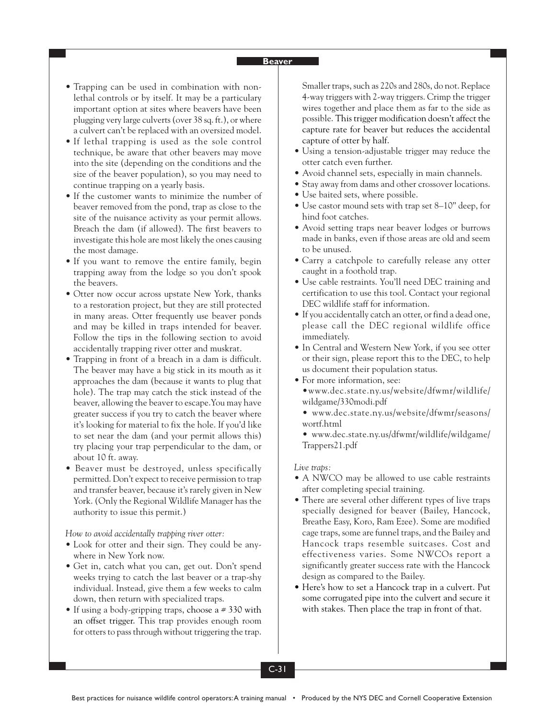- Trapping can be used in combination with nonlethal controls or by itself. It may be a particulary important option at sites where beavers have been plugging very large culverts (over 38 sq. ft.), or where a culvert can't be replaced with an oversized model.
- If lethal trapping is used as the sole control technique, be aware that other beavers may move into the site (depending on the conditions and the size of the beaver population), so you may need to continue trapping on a yearly basis.
- If the customer wants to minimize the number of beaver removed from the pond, trap as close to the site of the nuisance activity as your permit allows. Breach the dam (if allowed). The first beavers to investigate this hole are most likely the ones causing the most damage.
- If you want to remove the entire family, begin trapping away from the lodge so you don't spook the beavers.
- Otter now occur across upstate New York, thanks to a restoration project, but they are still protected in many areas. Otter frequently use beaver ponds and may be killed in traps intended for beaver. Follow the tips in the following section to avoid accidentally trapping river otter and muskrat.
- Trapping in front of a breach in a dam is difficult. The beaver may have a big stick in its mouth as it approaches the dam (because it wants to plug that hole). The trap may catch the stick instead of the beaver, allowing the beaver to escape.You may have greater success if you try to catch the beaver where it's looking for material to fix the hole. If you'd like to set near the dam (and your permit allows this) try placing your trap perpendicular to the dam, or about 10 ft. away.
- Beaver must be destroyed, unless specifically permitted. Don't expect to receive permission to trap and transfer beaver, because it's rarely given in New York. (Only the Regional Wildlife Manager has the authority to issue this permit.)

*How to avoid accidentally trapping river otter:*

- Look for otter and their sign. They could be anywhere in New York now.
- Get in, catch what you can, get out. Don't spend weeks trying to catch the last beaver or a trap-shy individual. Instead, give them a few weeks to calm down, then return with specialized traps.
- If using a body-gripping traps, choose a  $# 330$  with an offset trigger. This trap provides enough room for otters to pass through without triggering the trap.

Smaller traps, such as 220s and 280s, do not. Replace 4-way triggers with 2-way triggers. Crimp the trigger wires together and place them as far to the side as possible. This trigger modification doesn't affect the capture rate for beaver but reduces the accidental capture of otter by half.

- Using a tension-adjustable trigger may reduce the otter catch even further.
- Avoid channel sets, especially in main channels.
- Stay away from dams and other crossover locations.
- Use baited sets, where possible.
- Use castor mound sets with trap set 8–10" deep, for hind foot catches.
- Avoid setting traps near beaver lodges or burrows made in banks, even if those areas are old and seem to be unused.
- Carry a catchpole to carefully release any otter caught in a foothold trap.
- Use cable restraints. You'll need DEC training and certification to use this tool. Contact your regional DEC wildlife staff for information.
- If you accidentally catch an otter, or find a dead one, please call the DEC regional wildlife office immediately.
- In Central and Western New York, if you see otter or their sign, please report this to the DEC, to help us document their population status.
- For more information, see: •www.dec.state.ny.us/website/dfwmr/wildlife/ wildgame/330modi.pdf
	- www.dec.state.ny.us/website/dfwmr/seasons/ wortf.html
	- www.dec.state.ny.us/dfwmr/wildlife/wildgame/ Trappers21.pdf

#### *Live traps:*

- A NWCO may be allowed to use cable restraints after completing special training.
- There are several other different types of live traps specially designed for beaver (Bailey, Hancock, Breathe Easy, Koro, Ram Ezee). Some are modified cage traps, some are funnel traps, and the Bailey and Hancock traps resemble suitcases. Cost and effectiveness varies. Some NWCOs report a significantly greater success rate with the Hancock design as compared to the Bailey.
- Here's how to set a Hancock trap in a culvert. Put some corrugated pipe into the culvert and secure it with stakes. Then place the trap in front of that.